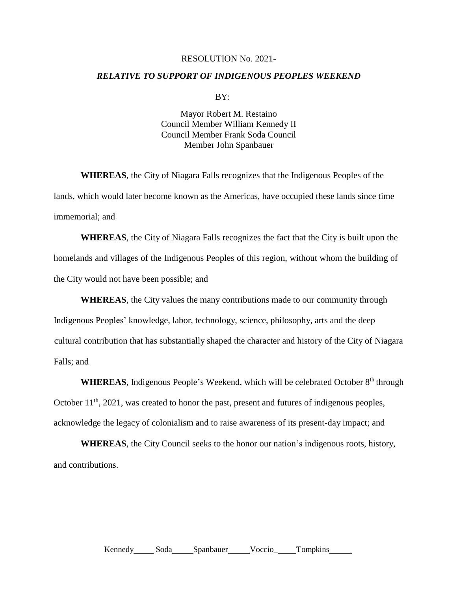## RESOLUTION No. 2021-

## *RELATIVE TO SUPPORT OF INDIGENOUS PEOPLES WEEKEND*

 $BY:$ 

Mayor Robert M. Restaino Council Member William Kennedy II Council Member Frank Soda Council Member John Spanbauer

**WHEREAS**, the City of Niagara Falls recognizes that the Indigenous Peoples of the lands, which would later become known as the Americas, have occupied these lands since time immemorial; and

**WHEREAS**, the City of Niagara Falls recognizes the fact that the City is built upon the homelands and villages of the Indigenous Peoples of this region, without whom the building of the City would not have been possible; and

**WHEREAS**, the City values the many contributions made to our community through Indigenous Peoples' knowledge, labor, technology, science, philosophy, arts and the deep cultural contribution that has substantially shaped the character and history of the City of Niagara Falls; and

WHEREAS, Indigenous People's Weekend, which will be celebrated October 8<sup>th</sup> through October  $11<sup>th</sup>$ , 2021, was created to honor the past, present and futures of indigenous peoples, acknowledge the legacy of colonialism and to raise awareness of its present-day impact; and

**WHEREAS**, the City Council seeks to the honor our nation's indigenous roots, history, and contributions.